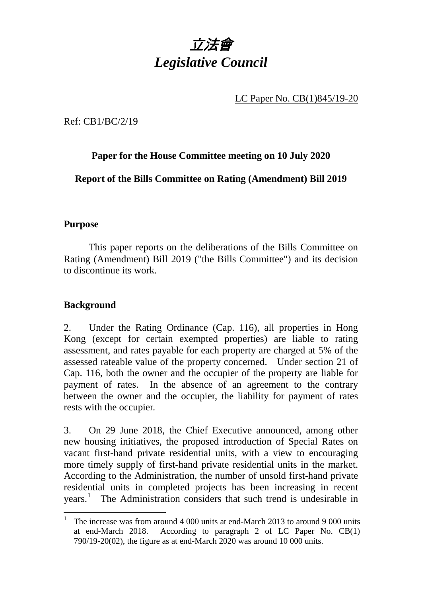

LC Paper No. CB(1)845/19-20

Ref: CB1/BC/2/19

## **Paper for the House Committee meeting on 10 July 2020**

**Report of the Bills Committee on Rating (Amendment) Bill 2019**

### **Purpose**

This paper reports on the deliberations of the Bills Committee on Rating (Amendment) Bill 2019 ("the Bills Committee") and its decision to discontinue its work.

## **Background**

2. Under the Rating Ordinance (Cap. 116), all properties in Hong Kong (except for certain exempted properties) are liable to rating assessment, and rates payable for each property are charged at 5% of the assessed rateable value of the property concerned. Under section 21 of Cap. 116, both the owner and the occupier of the property are liable for payment of rates. In the absence of an agreement to the contrary between the owner and the occupier, the liability for payment of rates rests with the occupier.

3. On 29 June 2018, the Chief Executive announced, among other new housing initiatives, the proposed introduction of Special Rates on vacant first-hand private residential units, with a view to encouraging more timely supply of first-hand private residential units in the market. According to the Administration, the number of unsold first-hand private residential units in completed projects has been increasing in recent years. [1](#page-0-0) The Administration considers that such trend is undesirable in

<span id="page-0-0"></span><sup>1</sup> The increase was from around 4 000 units at end-March 2013 to around 9 000 units at end-March 2018. According to paragraph 2 of LC Paper No. CB(1) 790/19-20(02), the figure as at end-March 2020 was around 10 000 units.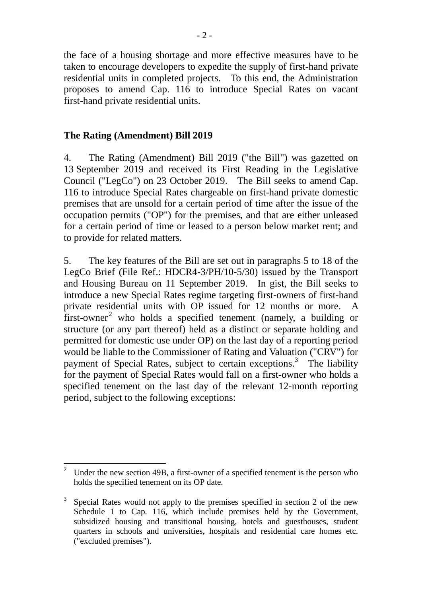the face of a housing shortage and more effective measures have to be taken to encourage developers to expedite the supply of first-hand private residential units in completed projects. To this end, the Administration proposes to amend Cap. 116 to introduce Special Rates on vacant first-hand private residential units.

### **The Rating (Amendment) Bill 2019**

4. The Rating (Amendment) Bill 2019 ("the Bill") was gazetted on 13 September 2019 and received its First Reading in the Legislative Council ("LegCo") on 23 October 2019. The Bill seeks to amend Cap. 116 to introduce Special Rates chargeable on first-hand private domestic premises that are unsold for a certain period of time after the issue of the occupation permits ("OP") for the premises, and that are either unleased for a certain period of time or leased to a person below market rent; and to provide for related matters.

5. The key features of the Bill are set out in paragraphs 5 to 18 of the LegCo Brief (File Ref.: HDCR4-3/PH/10-5/30) issued by the Transport and Housing Bureau on 11 September 2019. In gist, the Bill seeks to introduce a new Special Rates regime targeting first-owners of first-hand private residential units with OP issued for 12 months or more. A first-owner<sup>[2](#page-1-0)</sup> who holds a specified tenement (namely, a building or structure (or any part thereof) held as a distinct or separate holding and permitted for domestic use under OP) on the last day of a reporting period would be liable to the Commissioner of Rating and Valuation ("CRV") for payment of Special Rates, subject to certain exceptions.<sup>[3](#page-1-1)</sup> The liability for the payment of Special Rates would fall on a first-owner who holds a specified tenement on the last day of the relevant 12-month reporting period, subject to the following exceptions:

<span id="page-1-0"></span><sup>&</sup>lt;sup>2</sup> Under the new section 49B, a first-owner of a specified tenement is the person who holds the specified tenement on its OP date.

<span id="page-1-1"></span><sup>&</sup>lt;sup>3</sup> Special Rates would not apply to the premises specified in section 2 of the new Schedule 1 to Cap. 116, which include premises held by the Government, subsidized housing and transitional housing, hotels and guesthouses, student quarters in schools and universities, hospitals and residential care homes etc. ("excluded premises").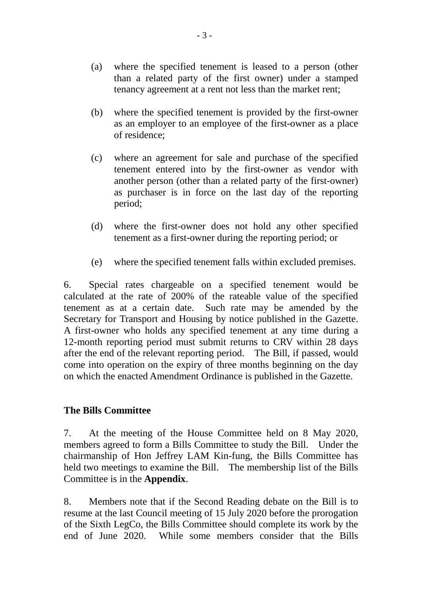- (a) where the specified tenement is leased to a person (other than a related party of the first owner) under a stamped tenancy agreement at a rent not less than the market rent;
- (b) where the specified tenement is provided by the first-owner as an employer to an employee of the first-owner as a place of residence;
- (c) where an agreement for sale and purchase of the specified tenement entered into by the first-owner as vendor with another person (other than a related party of the first-owner) as purchaser is in force on the last day of the reporting period;
- (d) where the first-owner does not hold any other specified tenement as a first-owner during the reporting period; or
- (e) where the specified tenement falls within excluded premises.

6. Special rates chargeable on a specified tenement would be calculated at the rate of 200% of the rateable value of the specified tenement as at a certain date. Such rate may be amended by the Secretary for Transport and Housing by notice published in the Gazette. A first-owner who holds any specified tenement at any time during a 12-month reporting period must submit returns to CRV within 28 days after the end of the relevant reporting period. The Bill, if passed, would come into operation on the expiry of three months beginning on the day on which the enacted Amendment Ordinance is published in the Gazette.

#### **The Bills Committee**

7. At the meeting of the House Committee held on 8 May 2020, members agreed to form a Bills Committee to study the Bill. Under the chairmanship of Hon Jeffrey LAM Kin-fung, the Bills Committee has held two meetings to examine the Bill. The membership list of the Bills Committee is in the **Appendix**.

8. Members note that if the Second Reading debate on the Bill is to resume at the last Council meeting of 15 July 2020 before the prorogation of the Sixth LegCo, the Bills Committee should complete its work by the end of June 2020. While some members consider that the Bills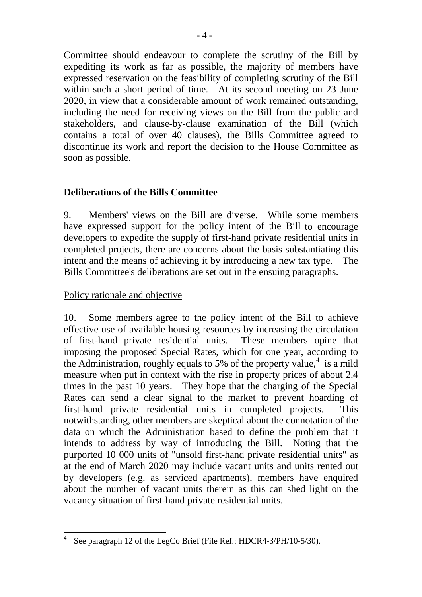Committee should endeavour to complete the scrutiny of the Bill by expediting its work as far as possible, the majority of members have expressed reservation on the feasibility of completing scrutiny of the Bill within such a short period of time. At its second meeting on 23 June 2020, in view that a considerable amount of work remained outstanding, including the need for receiving views on the Bill from the public and stakeholders, and clause-by-clause examination of the Bill (which contains a total of over 40 clauses), the Bills Committee agreed to discontinue its work and report the decision to the House Committee as soon as possible.

### **Deliberations of the Bills Committee**

9. Members' views on the Bill are diverse. While some members have expressed support for the policy intent of the Bill to encourage developers to expedite the supply of first-hand private residential units in completed projects, there are concerns about the basis substantiating this intent and the means of achieving it by introducing a new tax type. The Bills Committee's deliberations are set out in the ensuing paragraphs.

## Policy rationale and objective

10. Some members agree to the policy intent of the Bill to achieve effective use of available housing resources by increasing the circulation of first-hand private residential units. These members opine that imposing the proposed Special Rates, which for one year, according to the Administration, roughly equals to 5% of the property value, $4$  is a mild measure when put in context with the rise in property prices of about 2.4 times in the past 10 years. They hope that the charging of the Special Rates can send a clear signal to the market to prevent hoarding of first-hand private residential units in completed projects. This notwithstanding, other members are skeptical about the connotation of the data on which the Administration based to define the problem that it intends to address by way of introducing the Bill. Noting that the purported 10 000 units of "unsold first-hand private residential units" as at the end of March 2020 may include vacant units and units rented out by developers (e.g. as serviced apartments), members have enquired about the number of vacant units therein as this can shed light on the vacancy situation of first-hand private residential units.

<span id="page-3-0"></span><sup>&</sup>lt;sup>4</sup> See paragraph 12 of the LegCo Brief (File Ref.: HDCR4-3/PH/10-5/30).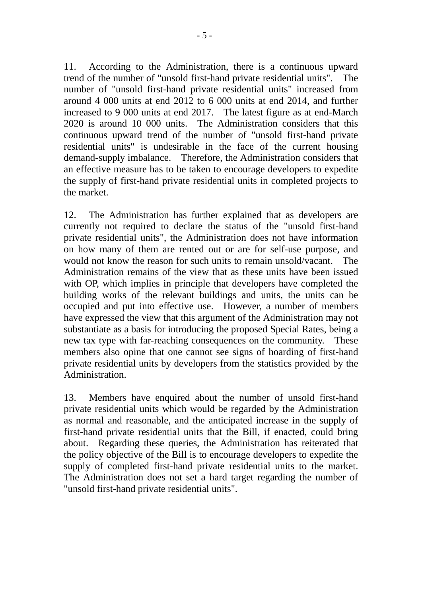11. According to the Administration, there is a continuous upward trend of the number of "unsold first-hand private residential units". The number of "unsold first-hand private residential units" increased from around 4 000 units at end 2012 to 6 000 units at end 2014, and further increased to 9 000 units at end 2017. The latest figure as at end-March 2020 is around 10 000 units. The Administration considers that this continuous upward trend of the number of "unsold first-hand private residential units" is undesirable in the face of the current housing demand-supply imbalance. Therefore, the Administration considers that an effective measure has to be taken to encourage developers to expedite the supply of first-hand private residential units in completed projects to the market.

12. The Administration has further explained that as developers are currently not required to declare the status of the "unsold first-hand private residential units", the Administration does not have information on how many of them are rented out or are for self-use purpose, and would not know the reason for such units to remain unsold/vacant. The Administration remains of the view that as these units have been issued with OP, which implies in principle that developers have completed the building works of the relevant buildings and units, the units can be occupied and put into effective use. However, a number of members have expressed the view that this argument of the Administration may not substantiate as a basis for introducing the proposed Special Rates, being a new tax type with far-reaching consequences on the community. These members also opine that one cannot see signs of hoarding of first-hand private residential units by developers from the statistics provided by the Administration.

13. Members have enquired about the number of unsold first-hand private residential units which would be regarded by the Administration as normal and reasonable, and the anticipated increase in the supply of first-hand private residential units that the Bill, if enacted, could bring about. Regarding these queries, the Administration has reiterated that the policy objective of the Bill is to encourage developers to expedite the supply of completed first-hand private residential units to the market. The Administration does not set a hard target regarding the number of "unsold first-hand private residential units".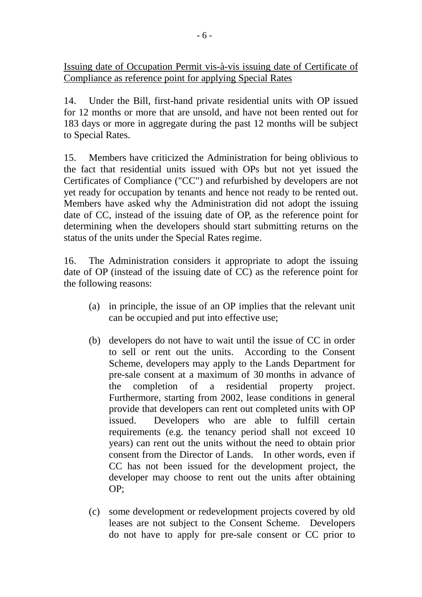Issuing date of Occupation Permit vis-à-vis issuing date of Certificate of Compliance as reference point for applying Special Rates

14. Under the Bill, first-hand private residential units with OP issued for 12 months or more that are unsold, and have not been rented out for 183 days or more in aggregate during the past 12 months will be subject to Special Rates.

15. Members have criticized the Administration for being oblivious to the fact that residential units issued with OPs but not yet issued the Certificates of Compliance ("CC") and refurbished by developers are not yet ready for occupation by tenants and hence not ready to be rented out. Members have asked why the Administration did not adopt the issuing date of CC, instead of the issuing date of OP, as the reference point for determining when the developers should start submitting returns on the status of the units under the Special Rates regime.

16. The Administration considers it appropriate to adopt the issuing date of OP (instead of the issuing date of CC) as the reference point for the following reasons:

- (a) in principle, the issue of an OP implies that the relevant unit can be occupied and put into effective use;
- (b) developers do not have to wait until the issue of CC in order to sell or rent out the units. According to the Consent Scheme, developers may apply to the Lands Department for pre-sale consent at a maximum of 30 months in advance of the completion of a residential property project. Furthermore, starting from 2002, lease conditions in general provide that developers can rent out completed units with OP issued. Developers who are able to fulfill certain requirements (e.g. the tenancy period shall not exceed 10 years) can rent out the units without the need to obtain prior consent from the Director of Lands. In other words, even if CC has not been issued for the development project, the developer may choose to rent out the units after obtaining OP;
- (c) some development or redevelopment projects covered by old leases are not subject to the Consent Scheme. Developers do not have to apply for pre-sale consent or CC prior to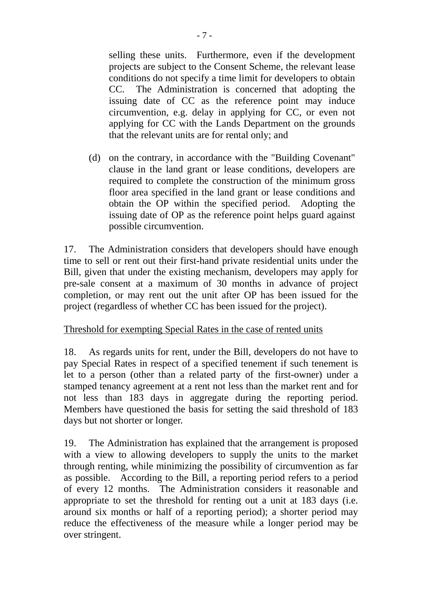selling these units. Furthermore, even if the development projects are subject to the Consent Scheme, the relevant lease conditions do not specify a time limit for developers to obtain CC. The Administration is concerned that adopting the issuing date of CC as the reference point may induce circumvention, e.g. delay in applying for CC, or even not applying for CC with the Lands Department on the grounds that the relevant units are for rental only; and

(d) on the contrary, in accordance with the "Building Covenant" clause in the land grant or lease conditions, developers are required to complete the construction of the minimum gross floor area specified in the land grant or lease conditions and obtain the OP within the specified period. Adopting the issuing date of OP as the reference point helps guard against possible circumvention.

17. The Administration considers that developers should have enough time to sell or rent out their first-hand private residential units under the Bill, given that under the existing mechanism, developers may apply for pre-sale consent at a maximum of 30 months in advance of project completion, or may rent out the unit after OP has been issued for the project (regardless of whether CC has been issued for the project).

## Threshold for exempting Special Rates in the case of rented units

18. As regards units for rent, under the Bill, developers do not have to pay Special Rates in respect of a specified tenement if such tenement is let to a person (other than a related party of the first-owner) under a stamped tenancy agreement at a rent not less than the market rent and for not less than 183 days in aggregate during the reporting period. Members have questioned the basis for setting the said threshold of 183 days but not shorter or longer.

19. The Administration has explained that the arrangement is proposed with a view to allowing developers to supply the units to the market through renting, while minimizing the possibility of circumvention as far as possible. According to the Bill, a reporting period refers to a period of every 12 months. The Administration considers it reasonable and appropriate to set the threshold for renting out a unit at 183 days (i.e. around six months or half of a reporting period); a shorter period may reduce the effectiveness of the measure while a longer period may be over stringent.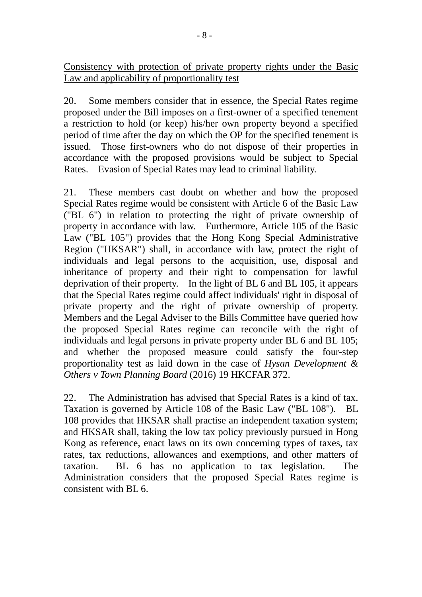Consistency with protection of private property rights under the Basic Law and applicability of proportionality test

20. Some members consider that in essence, the Special Rates regime proposed under the Bill imposes on a first-owner of a specified tenement a restriction to hold (or keep) his/her own property beyond a specified period of time after the day on which the OP for the specified tenement is issued. Those first-owners who do not dispose of their properties in accordance with the proposed provisions would be subject to Special Rates. Evasion of Special Rates may lead to criminal liability.

21. These members cast doubt on whether and how the proposed Special Rates regime would be consistent with Article 6 of the Basic Law ("BL 6") in relation to protecting the right of private ownership of property in accordance with law. Furthermore, Article 105 of the Basic Law ("BL 105") provides that the Hong Kong Special Administrative Region ("HKSAR") shall, in accordance with law, protect the right of individuals and legal persons to the acquisition, use, disposal and inheritance of property and their right to compensation for lawful deprivation of their property. In the light of BL 6 and BL 105, it appears that the Special Rates regime could affect individuals' right in disposal of private property and the right of private ownership of property. Members and the Legal Adviser to the Bills Committee have queried how the proposed Special Rates regime can reconcile with the right of individuals and legal persons in private property under BL 6 and BL 105; and whether the proposed measure could satisfy the four-step proportionality test as laid down in the case of *Hysan Development & Others v Town Planning Board* (2016) 19 HKCFAR 372.

22. The Administration has advised that Special Rates is a kind of tax. Taxation is governed by Article 108 of the Basic Law ("BL 108"). BL 108 provides that HKSAR shall practise an independent taxation system; and HKSAR shall, taking the low tax policy previously pursued in Hong Kong as reference, enact laws on its own concerning types of taxes, tax rates, tax reductions, allowances and exemptions, and other matters of taxation. BL 6 has no application to tax legislation. The Administration considers that the proposed Special Rates regime is consistent with BL 6.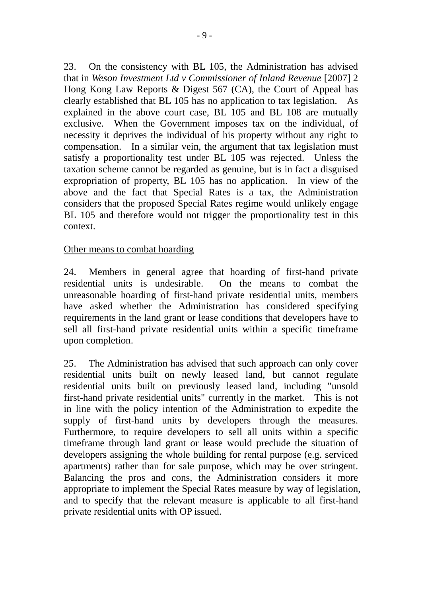23. On the consistency with BL 105, the Administration has advised that in *Weson Investment Ltd v Commissioner of Inland Revenue* [2007] 2 Hong Kong Law Reports & Digest 567 (CA), the Court of Appeal has clearly established that BL 105 has no application to tax legislation. As explained in the above court case, BL 105 and BL 108 are mutually exclusive. When the Government imposes tax on the individual, of necessity it deprives the individual of his property without any right to compensation. In a similar vein, the argument that tax legislation must satisfy a proportionality test under BL 105 was rejected. Unless the taxation scheme cannot be regarded as genuine, but is in fact a disguised expropriation of property, BL 105 has no application. In view of the above and the fact that Special Rates is a tax, the Administration considers that the proposed Special Rates regime would unlikely engage BL 105 and therefore would not trigger the proportionality test in this context.

#### Other means to combat hoarding

24. Members in general agree that hoarding of first-hand private residential units is undesirable. On the means to combat the unreasonable hoarding of first-hand private residential units, members have asked whether the Administration has considered specifying requirements in the land grant or lease conditions that developers have to sell all first-hand private residential units within a specific timeframe upon completion.

25. The Administration has advised that such approach can only cover residential units built on newly leased land, but cannot regulate residential units built on previously leased land, including "unsold first-hand private residential units" currently in the market. This is not in line with the policy intention of the Administration to expedite the supply of first-hand units by developers through the measures. Furthermore, to require developers to sell all units within a specific timeframe through land grant or lease would preclude the situation of developers assigning the whole building for rental purpose (e.g. serviced apartments) rather than for sale purpose, which may be over stringent. Balancing the pros and cons, the Administration considers it more appropriate to implement the Special Rates measure by way of legislation, and to specify that the relevant measure is applicable to all first-hand private residential units with OP issued.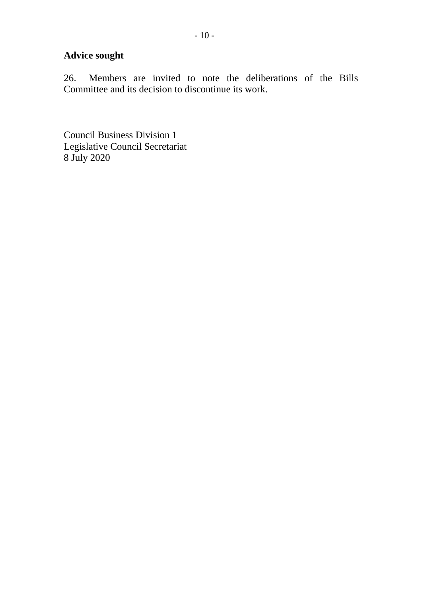## **Advice sought**

26. Members are invited to note the deliberations of the Bills Committee and its decision to discontinue its work.

Council Business Division 1 Legislative Council Secretariat 8 July 2020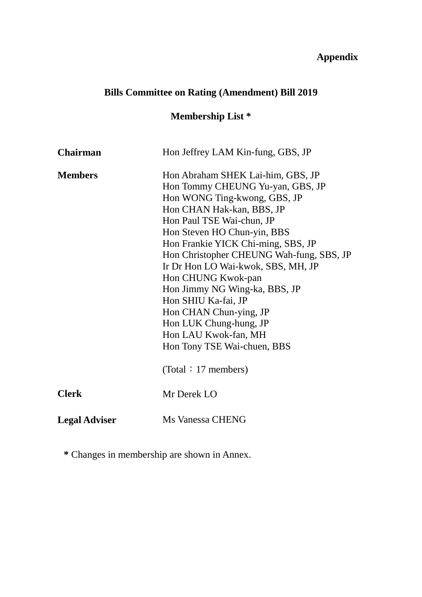# **Appendix**

# **Bills Committee on Rating (Amendment) Bill 2019**

# **Membership List \***

| <b>Chairman</b>      | Hon Jeffrey LAM Kin-fung, GBS, JP                                                                                                                                                                                                                                                                                                                                                                                                                                                                                                      |
|----------------------|----------------------------------------------------------------------------------------------------------------------------------------------------------------------------------------------------------------------------------------------------------------------------------------------------------------------------------------------------------------------------------------------------------------------------------------------------------------------------------------------------------------------------------------|
| <b>Members</b>       | Hon Abraham SHEK Lai-him, GBS, JP<br>Hon Tommy CHEUNG Yu-yan, GBS, JP<br>Hon WONG Ting-kwong, GBS, JP<br>Hon CHAN Hak-kan, BBS, JP<br>Hon Paul TSE Wai-chun, JP<br>Hon Steven HO Chun-yin, BBS<br>Hon Frankie YICK Chi-ming, SBS, JP<br>Hon Christopher CHEUNG Wah-fung, SBS, JP<br>Ir Dr Hon LO Wai-kwok, SBS, MH, JP<br>Hon CHUNG Kwok-pan<br>Hon Jimmy NG Wing-ka, BBS, JP<br>Hon SHIU Ka-fai, JP<br>Hon CHAN Chun-ying, JP<br>Hon LUK Chung-hung, JP<br>Hon LAU Kwok-fan, MH<br>Hon Tony TSE Wai-chuen, BBS<br>(Total: 17 members) |
| <b>Clerk</b>         | Mr Derek LO                                                                                                                                                                                                                                                                                                                                                                                                                                                                                                                            |
| <b>Legal Adviser</b> | Ms Vanessa CHENG                                                                                                                                                                                                                                                                                                                                                                                                                                                                                                                       |

**\*** Changes in membership are shown in Annex.